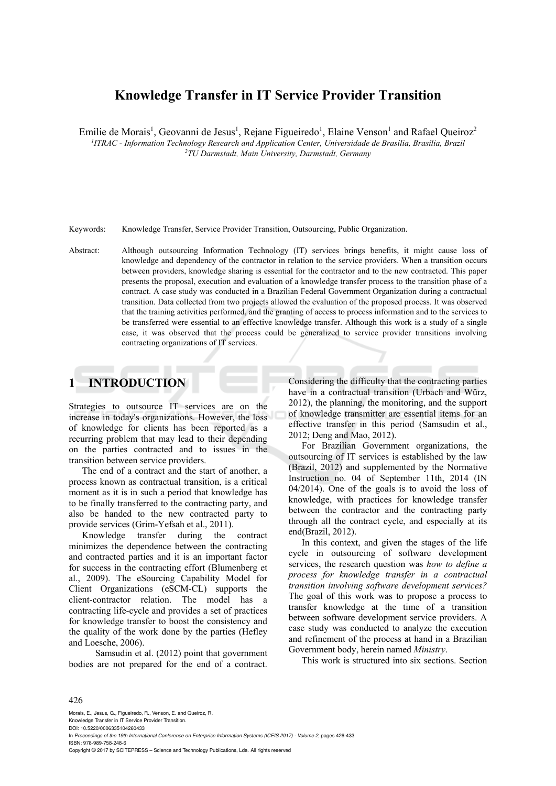# **Knowledge Transfer in IT Service Provider Transition**

Emilie de Morais<sup>1</sup>, Geovanni de Jesus<sup>1</sup>, Rejane Figueiredo<sup>1</sup>, Elaine Venson<sup>1</sup> and Rafael Queiroz<sup>2</sup> *1 ITRAC - Information Technology Research and Application Center, Universidade de Brasília, Brasília, Brazil 2 TU Darmstadt, Main University, Darmstadt, Germany* 

Keywords: Knowledge Transfer, Service Provider Transition, Outsourcing, Public Organization.

Abstract: Although outsourcing Information Technology (IT) services brings benefits, it might cause loss of knowledge and dependency of the contractor in relation to the service providers. When a transition occurs between providers, knowledge sharing is essential for the contractor and to the new contracted. This paper presents the proposal, execution and evaluation of a knowledge transfer process to the transition phase of a contract. A case study was conducted in a Brazilian Federal Government Organization during a contractual transition. Data collected from two projects allowed the evaluation of the proposed process. It was observed that the training activities performed, and the granting of access to process information and to the services to be transferred were essential to an effective knowledge transfer. Although this work is a study of a single case, it was observed that the process could be generalized to service provider transitions involving contracting organizations of IT services.

# **1 INTRODUCTION**

Strategies to outsource IT services are on the increase in today's organizations. However, the loss of knowledge for clients has been reported as a recurring problem that may lead to their depending on the parties contracted and to issues in the transition between service providers.

The end of a contract and the start of another, a process known as contractual transition, is a critical moment as it is in such a period that knowledge has to be finally transferred to the contracting party, and also be handed to the new contracted party to provide services (Grim-Yefsah et al., 2011).

Knowledge transfer during the contract minimizes the dependence between the contracting and contracted parties and it is an important factor for success in the contracting effort (Blumenberg et al., 2009). The eSourcing Capability Model for Client Organizations (eSCM-CL) supports the client-contractor relation. The model has a contracting life-cycle and provides a set of practices for knowledge transfer to boost the consistency and the quality of the work done by the parties (Hefley and Loesche, 2006).

 Samsudin et al. (2012) point that government bodies are not prepared for the end of a contract.

Considering the difficulty that the contracting parties have in a contractual transition (Urbach and Würz, 2012), the planning, the monitoring, and the support of knowledge transmitter are essential items for an effective transfer in this period (Samsudin et al., 2012; Deng and Mao, 2012).

For Brazilian Government organizations, the outsourcing of IT services is established by the law (Brazil, 2012) and supplemented by the Normative Instruction no. 04 of September 11th, 2014 (IN 04/2014). One of the goals is to avoid the loss of knowledge, with practices for knowledge transfer between the contractor and the contracting party through all the contract cycle, and especially at its end(Brazil, 2012).

In this context, and given the stages of the life cycle in outsourcing of software development services, the research question was *how to define a process for knowledge transfer in a contractual transition involving software development services?* The goal of this work was to propose a process to transfer knowledge at the time of a transition between software development service providers. A case study was conducted to analyze the execution and refinement of the process at hand in a Brazilian Government body, herein named *Ministry*.

This work is structured into six sections. Section

#### 426

Morais, E., Jesus, G., Figueiredo, R., Venson, E. and Queiroz, R. Knowledge Transfer in IT Service Provider Transition. DOI: 10.5220/0006335104260433 In *Proceedings of the 19th International Conference on Enterprise Information Systems (ICEIS 2017) - Volume 2*, pages 426-433 ISBN: 978-989-758-248-6 Copyright © 2017 by SCITEPRESS – Science and Technology Publications, Lda. All rights reserved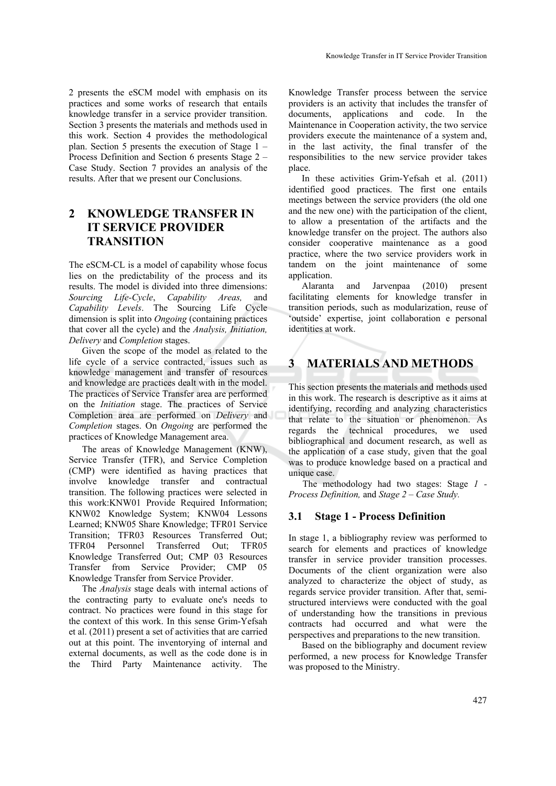2 presents the eSCM model with emphasis on its practices and some works of research that entails knowledge transfer in a service provider transition. Section 3 presents the materials and methods used in this work. Section 4 provides the methodological plan. Section 5 presents the execution of Stage 1 – Process Definition and Section 6 presents Stage 2 –

Case Study. Section 7 provides an analysis of the results. After that we present our Conclusions.

# **2 KNOWLEDGE TRANSFER IN IT SERVICE PROVIDER TRANSITION**

The eSCM-CL is a model of capability whose focus lies on the predictability of the process and its results. The model is divided into three dimensions: *Sourcing Life-Cycle*, *Capability Areas,* and *Capability Levels*. The Sourcing Life Cycle dimension is split into *Ongoing* (containing practices that cover all the cycle) and the *Analysis, Initiation, Delivery* and *Completion* stages.

Given the scope of the model as related to the life cycle of a service contracted, issues such as knowledge management and transfer of resources and knowledge are practices dealt with in the model. The practices of Service Transfer area are performed on the *Initiation* stage. The practices of Service Completion area are performed on *Delivery* and *Completion* stages. On *Ongoing* are performed the practices of Knowledge Management area.

The areas of Knowledge Management (KNW), Service Transfer (TFR), and Service Completion (CMP) were identified as having practices that involve knowledge transfer and contractual transition. The following practices were selected in this work:KNW01 Provide Required Information; KNW02 Knowledge System; KNW04 Lessons Learned; KNW05 Share Knowledge; TFR01 Service Transition; TFR03 Resources Transferred Out; TFR04 Personnel Transferred Out; TFR05 Knowledge Transferred Out; CMP 03 Resources Transfer from Service Provider; CMP 05 Knowledge Transfer from Service Provider.

The *Analysis* stage deals with internal actions of the contracting party to evaluate one's needs to contract. No practices were found in this stage for the context of this work. In this sense Grim-Yefsah et al. (2011) present a set of activities that are carried out at this point. The inventorying of internal and external documents, as well as the code done is in the Third Party Maintenance activity. The

Knowledge Transfer process between the service providers is an activity that includes the transfer of documents, applications and code. In the Maintenance in Cooperation activity, the two service providers execute the maintenance of a system and, in the last activity, the final transfer of the responsibilities to the new service provider takes place.

In these activities Grim-Yefsah et al. (2011) identified good practices. The first one entails meetings between the service providers (the old one and the new one) with the participation of the client, to allow a presentation of the artifacts and the knowledge transfer on the project. The authors also consider cooperative maintenance as a good practice, where the two service providers work in tandem on the joint maintenance of some application.

Alaranta and Jarvenpaa (2010) present facilitating elements for knowledge transfer in transition periods, such as modularization, reuse of 'outside' expertise, joint collaboration e personal identities at work.

# **3 MATERIALS AND METHODS**

This section presents the materials and methods used in this work. The research is descriptive as it aims at identifying, recording and analyzing characteristics that relate to the situation or phenomenon. As regards the technical procedures, we used bibliographical and document research, as well as the application of a case study, given that the goal was to produce knowledge based on a practical and unique case.

The methodology had two stages: Stage *1 - Process Definition,* and *Stage 2 – Case Study.* 

## **3.1 Stage 1 - Process Definition**

In stage 1, a bibliography review was performed to search for elements and practices of knowledge transfer in service provider transition processes. Documents of the client organization were also analyzed to characterize the object of study, as regards service provider transition. After that, semistructured interviews were conducted with the goal of understanding how the transitions in previous contracts had occurred and what were the perspectives and preparations to the new transition.

Based on the bibliography and document review performed, a new process for Knowledge Transfer was proposed to the Ministry.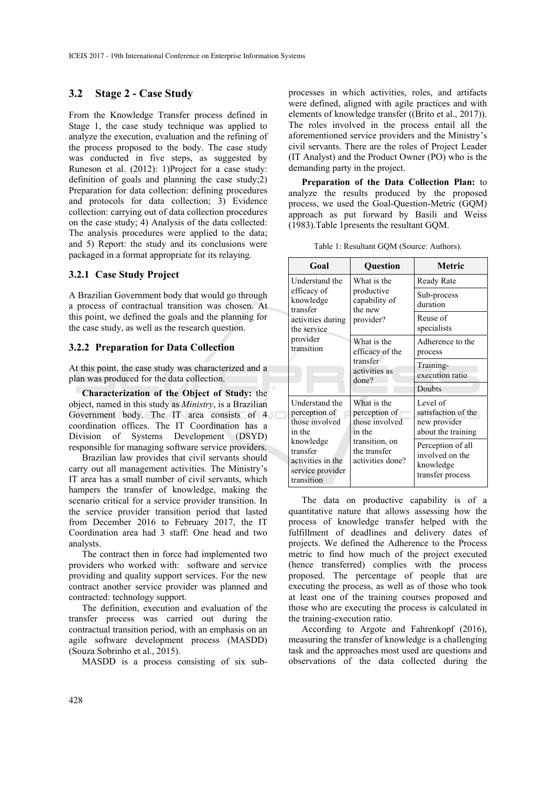### **3.2 Stage 2 - Case Study**

From the Knowledge Transfer process defined in Stage 1, the case study technique was applied to analyze the execution, evaluation and the refining of the process proposed to the body. The case study was conducted in five steps, as suggested by Runeson et al. (2012): 1)Project for a case study: definition of goals and planning the case study;2) Preparation for data collection: defining procedures and protocols for data collection; 3) Evidence collection: carrying out of data collection procedures on the case study; 4) Analysis of the data collected: The analysis procedures were applied to the data; and 5) Report: the study and its conclusions were packaged in a format appropriate for its relaying.

### **3.2.1 Case Study Project**

A Brazilian Government body that would go through a process of contractual transition was chosen. At this point, we defined the goals and the planning for the case study, as well as the research question.

#### **3.2.2 Preparation for Data Collection**

At this point, the case study was characterized and a plan was produced for the data collection.

**Characterization of the Object of Study:** the object, named in this study as *Ministry*, is a Brazilian Government body. The IT area consists of 4 coordination offices. The IT Coordination has a Division of Systems Development (DSYD) responsible for managing software service providers.

Brazilian law provides that civil servants should carry out all management activities. The Ministry's IT area has a small number of civil servants, which hampers the transfer of knowledge, making the scenario critical for a service provider transition. In the service provider transition period that lasted from December 2016 to February 2017, the IT Coordination area had 3 staff: One head and two analysts.

The contract then in force had implemented two providers who worked with: software and service providing and quality support services. For the new contract another service provider was planned and contracted: technology support.

The definition, execution and evaluation of the transfer process was carried out during the contractual transition period, with an emphasis on an agile software development process (MASDD) (Souza Sobrinho et al., 2015).

MASDD is a process consisting of six sub-

processes in which activities, roles, and artifacts were defined, aligned with agile practices and with elements of knowledge transfer ((Brito et al., 2017)). The roles involved in the process entail all the aforementioned service providers and the Ministry's civil servants. There are the roles of Project Leader (IT Analyst) and the Product Owner (PO) who is the demanding party in the project.

**Preparation of the Data Collection Plan:** to analyze the results produced by the proposed process, we used the Goal-Question-Metric (GQM) approach as put forward by Basili and Weiss (1983).Table 1presents the resultant GQM.

|  | Table 1: Resultant GQM (Source: Authors). |  |  |  |  |
|--|-------------------------------------------|--|--|--|--|
|--|-------------------------------------------|--|--|--|--|

| Goal                                                                                                                                        | Question                                                                                                       | <b>Metric</b>                                                                                                                                  |
|---------------------------------------------------------------------------------------------------------------------------------------------|----------------------------------------------------------------------------------------------------------------|------------------------------------------------------------------------------------------------------------------------------------------------|
| Understand the                                                                                                                              | What is the                                                                                                    | Ready Rate                                                                                                                                     |
| efficacy of<br>knowledge<br>transfer                                                                                                        | productive<br>capability of<br>the new                                                                         | Sub-process<br>duration                                                                                                                        |
| activities during<br>the service                                                                                                            | provider?                                                                                                      | Reuse of<br>specialists                                                                                                                        |
| provider<br>transition                                                                                                                      | What is the<br>efficacy of the                                                                                 | Adherence to the<br>process                                                                                                                    |
|                                                                                                                                             | transfer<br>activities as<br>done?                                                                             | Training-<br>execution ratio                                                                                                                   |
|                                                                                                                                             |                                                                                                                | Doubts                                                                                                                                         |
| Understand the<br>perception of<br>those involved<br>in the<br>knowledge<br>transfer<br>activities in the<br>service provider<br>transition | What is the<br>perception of<br>those involved<br>in the<br>transition, on<br>the transfer<br>activities done? | Level of<br>satisfaction of the<br>new provider<br>about the training<br>Perception of all<br>involved on the<br>knowledge<br>transfer process |

The data on productive capability is of a quantitative nature that allows assessing how the process of knowledge transfer helped with the fulfillment of deadlines and delivery dates of projects. We defined the Adherence to the Process metric to find how much of the project executed (hence transferred) complies with the process proposed. The percentage of people that are executing the process, as well as of those who took at least one of the training courses proposed and those who are executing the process is calculated in the training-execution ratio.

According to Argote and Fahrenkopf (2016), measuring the transfer of knowledge is a challenging task and the approaches most used are questions and observations of the data collected during the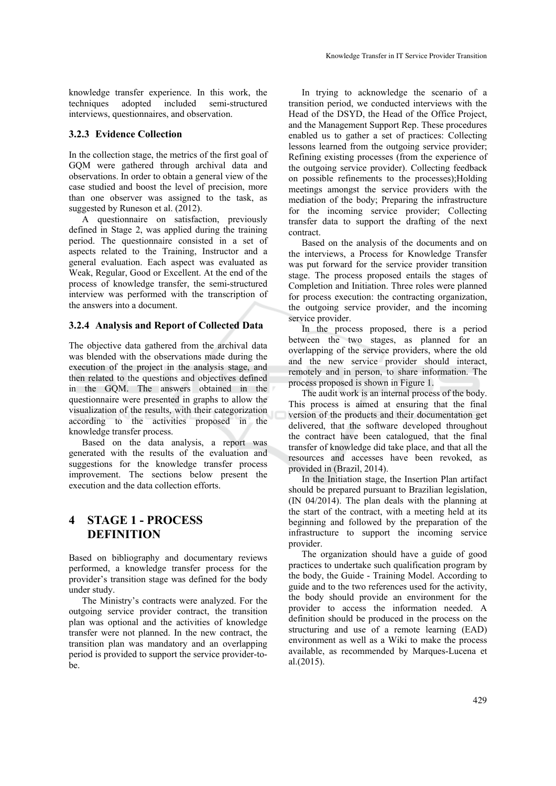knowledge transfer experience. In this work, the techniques adopted included semi-structured interviews, questionnaires, and observation.

#### **3.2.3 Evidence Collection**

In the collection stage, the metrics of the first goal of GQM were gathered through archival data and observations. In order to obtain a general view of the case studied and boost the level of precision, more than one observer was assigned to the task, as suggested by Runeson et al. (2012).

A questionnaire on satisfaction, previously defined in Stage 2, was applied during the training period. The questionnaire consisted in a set of aspects related to the Training, Instructor and a general evaluation. Each aspect was evaluated as Weak, Regular, Good or Excellent. At the end of the process of knowledge transfer, the semi-structured interview was performed with the transcription of the answers into a document.

### **3.2.4 Analysis and Report of Collected Data**

The objective data gathered from the archival data was blended with the observations made during the execution of the project in the analysis stage, and then related to the questions and objectives defined in the GQM. The answers obtained in the questionnaire were presented in graphs to allow the visualization of the results, with their categorization according to the activities proposed in the knowledge transfer process.

Based on the data analysis, a report was generated with the results of the evaluation and suggestions for the knowledge transfer process improvement. The sections below present the execution and the data collection efforts.

# **4 STAGE 1 - PROCESS DEFINITION**

Based on bibliography and documentary reviews performed, a knowledge transfer process for the provider's transition stage was defined for the body under study.

The Ministry's contracts were analyzed. For the outgoing service provider contract, the transition plan was optional and the activities of knowledge transfer were not planned. In the new contract, the transition plan was mandatory and an overlapping period is provided to support the service provider-tobe.

In trying to acknowledge the scenario of a transition period, we conducted interviews with the Head of the DSYD, the Head of the Office Project, and the Management Support Rep. These procedures enabled us to gather a set of practices: Collecting lessons learned from the outgoing service provider; Refining existing processes (from the experience of the outgoing service provider). Collecting feedback on possible refinements to the processes);Holding meetings amongst the service providers with the mediation of the body; Preparing the infrastructure for the incoming service provider; Collecting transfer data to support the drafting of the next contract.

Based on the analysis of the documents and on the interviews, a Process for Knowledge Transfer was put forward for the service provider transition stage. The process proposed entails the stages of Completion and Initiation. Three roles were planned for process execution: the contracting organization, the outgoing service provider, and the incoming service provider.

In the process proposed, there is a period between the two stages, as planned for an overlapping of the service providers, where the old and the new service provider should interact, remotely and in person, to share information. The process proposed is shown in Figure 1.

The audit work is an internal process of the body. This process is aimed at ensuring that the final version of the products and their documentation get delivered, that the software developed throughout the contract have been catalogued, that the final transfer of knowledge did take place, and that all the resources and accesses have been revoked, as provided in (Brazil, 2014).

In the Initiation stage, the Insertion Plan artifact should be prepared pursuant to Brazilian legislation, (IN 04/2014). The plan deals with the planning at the start of the contract, with a meeting held at its beginning and followed by the preparation of the infrastructure to support the incoming service provider.

The organization should have a guide of good practices to undertake such qualification program by the body, the Guide - Training Model. According to guide and to the two references used for the activity, the body should provide an environment for the provider to access the information needed. A definition should be produced in the process on the structuring and use of a remote learning (EAD) environment as well as a Wiki to make the process available, as recommended by Marques-Lucena et al.(2015).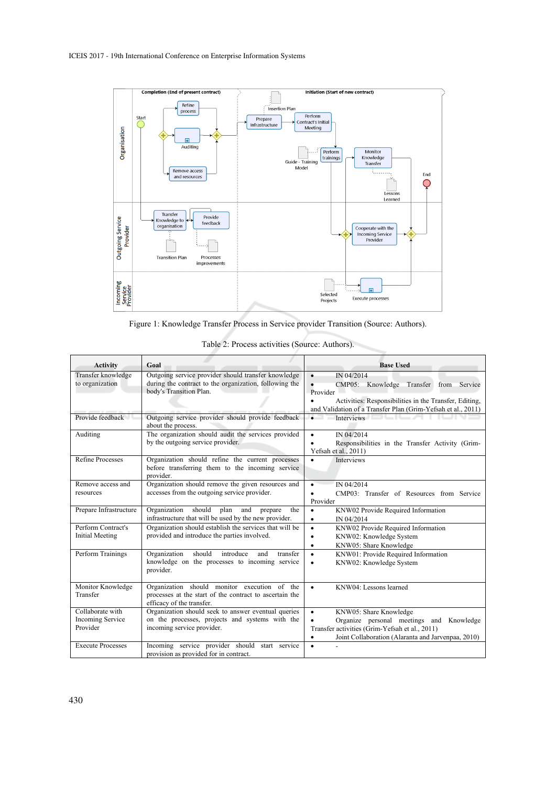

Figure 1: Knowledge Transfer Process in Service provider Transition (Source: Authors).

| <b>Activity</b>                              | Goal                                                                                                                                     | <b>Base Used</b>                                                                                                                    |
|----------------------------------------------|------------------------------------------------------------------------------------------------------------------------------------------|-------------------------------------------------------------------------------------------------------------------------------------|
| Transfer knowledge<br>to organization        | Outgoing service provider should transfer knowledge<br>during the contract to the organization, following the<br>body's Transition Plan. | IN 04/2014<br>$\bullet$<br>CMP05: Knowledge Transfer<br>from<br>Service<br>Provider                                                 |
|                                              |                                                                                                                                          | Activities: Responsibilities in the Transfer, Editing,<br>$\bullet$<br>and Validation of a Transfer Plan (Grim-Yefsah et al., 2011) |
| Provide feedback                             | Outgoing service provider should provide feedback<br>about the process.                                                                  | Interviews<br>$\bullet$                                                                                                             |
| Auditing                                     | The organization should audit the services provided<br>by the outgoing service provider.                                                 | IN 04/2014<br>$\bullet$<br>Responsibilities in the Transfer Activity (Grim-<br>$\bullet$<br>Yefsah et al., $2011$ )                 |
| <b>Refine Processes</b>                      | Organization should refine the current processes<br>before transferring them to the incoming service<br>provider.                        | $\bullet$<br><b>Interviews</b>                                                                                                      |
| Remove access and<br>resources               | Organization should remove the given resources and<br>accesses from the outgoing service provider.                                       | IN 04/2014<br>$\bullet$<br>CMP03: Transfer of Resources from Service<br>$\bullet$<br>Provider                                       |
| Prepare Infrastructure                       | should<br>Organization<br>plan<br>and<br>prepare<br>the<br>infrastructure that will be used by the new provider.                         | KNW02 Provide Required Information<br>$\bullet$<br>IN 04/2014<br>$\bullet$                                                          |
| Perform Contract's<br><b>Initial Meeting</b> | Organization should establish the services that will be<br>provided and introduce the parties involved.                                  | KNW02 Provide Required Information<br>$\bullet$<br>KNW02: Knowledge System<br>$\bullet$<br>KNW05: Share Knowledge<br>$\bullet$      |
| Perform Trainings                            | Organization<br>should introduce<br>and<br>transfer<br>knowledge on the processes to incoming service<br>provider.                       | KNW01: Provide Required Information<br>$\bullet$<br>KNW02: Knowledge System<br>$\bullet$                                            |
| Monitor Knowledge<br>Transfer                | Organization should monitor execution of the<br>processes at the start of the contract to ascertain the<br>efficacy of the transfer.     | KNW04: Lessons learned<br>$\bullet$                                                                                                 |
| Collaborate with<br><b>Incoming Service</b>  | Organization should seek to answer eventual queries<br>on the processes, projects and systems with the                                   | KNW05: Share Knowledge<br>$\bullet$<br>Organize personal meetings and Knowledge<br>$\bullet$                                        |
| Provider                                     | incoming service provider.                                                                                                               | Transfer activities (Grim-Yefsah et al., 2011)<br>Joint Collaboration (Alaranta and Jarvenpaa, 2010)<br>$\bullet$                   |
| <b>Execute Processes</b>                     | Incoming service provider should start service<br>provision as provided for in contract.                                                 | $\bullet$                                                                                                                           |

Table 2: Process activities (Source: Authors).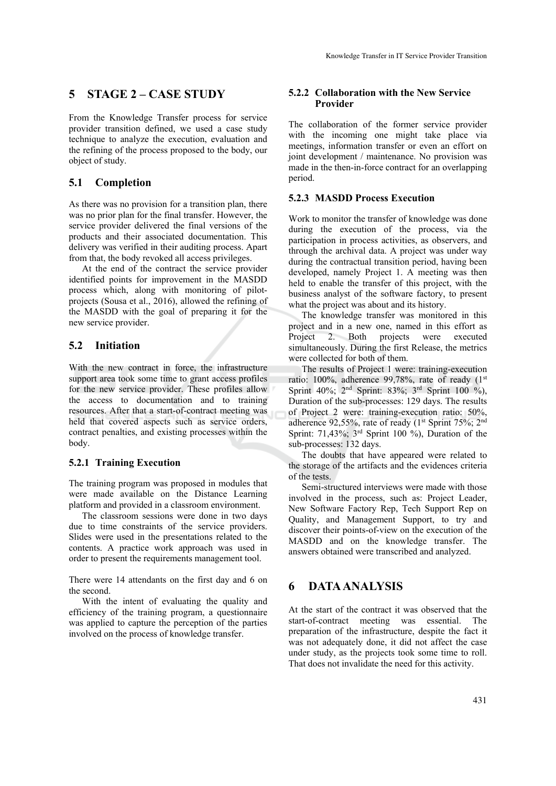# **5 STAGE 2 – CASE STUDY**

From the Knowledge Transfer process for service provider transition defined, we used a case study technique to analyze the execution, evaluation and the refining of the process proposed to the body, our object of study.

## **5.1 Completion**

As there was no provision for a transition plan, there was no prior plan for the final transfer. However, the service provider delivered the final versions of the products and their associated documentation. This delivery was verified in their auditing process. Apart from that, the body revoked all access privileges.

At the end of the contract the service provider identified points for improvement in the MASDD process which, along with monitoring of pilotprojects (Sousa et al., 2016), allowed the refining of the MASDD with the goal of preparing it for the new service provider.

## **5.2 Initiation**

With the new contract in force, the infrastructure support area took some time to grant access profiles for the new service provider. These profiles allow the access to documentation and to training resources. After that a start-of-contract meeting was held that covered aspects such as service orders, contract penalties, and existing processes within the body.

### **5.2.1 Training Execution**

The training program was proposed in modules that were made available on the Distance Learning platform and provided in a classroom environment.

The classroom sessions were done in two days due to time constraints of the service providers. Slides were used in the presentations related to the contents. A practice work approach was used in order to present the requirements management tool.

There were 14 attendants on the first day and 6 on the second.

With the intent of evaluating the quality and efficiency of the training program, a questionnaire was applied to capture the perception of the parties involved on the process of knowledge transfer.

### **5.2.2 Collaboration with the New Service Provider**

The collaboration of the former service provider with the incoming one might take place via meetings, information transfer or even an effort on joint development / maintenance. No provision was made in the then-in-force contract for an overlapping period.

### **5.2.3 MASDD Process Execution**

Work to monitor the transfer of knowledge was done during the execution of the process, via the participation in process activities, as observers, and through the archival data. A project was under way during the contractual transition period, having been developed, namely Project 1. A meeting was then held to enable the transfer of this project, with the business analyst of the software factory, to present what the project was about and its history.

The knowledge transfer was monitored in this project and in a new one, named in this effort as Project 2. Both projects were executed simultaneously. During the first Release, the metrics were collected for both of them.

The results of Project 1 were: training-execution ratio:  $100\%$ , adherence 99,78%, rate of ready  $(1<sup>st</sup>$ Sprint 40%; 2nd Sprint: 83%; 3rd Sprint 100 %), Duration of the sub-processes: 129 days. The results of Project 2 were: training-execution ratio: 50%, adherence 92,55%, rate of ready  $(1^{st}$  Sprint 75%; 2<sup>nd</sup> Sprint: 71,43%; 3rd Sprint 100 %), Duration of the sub-processes: 132 days.

The doubts that have appeared were related to the storage of the artifacts and the evidences criteria of the tests.

Semi-structured interviews were made with those involved in the process, such as: Project Leader, New Software Factory Rep, Tech Support Rep on Quality, and Management Support, to try and discover their points-of-view on the execution of the MASDD and on the knowledge transfer. The answers obtained were transcribed and analyzed.

## **6 DATA ANALYSIS**

At the start of the contract it was observed that the start-of-contract meeting was essential. The preparation of the infrastructure, despite the fact it was not adequately done, it did not affect the case under study, as the projects took some time to roll. That does not invalidate the need for this activity.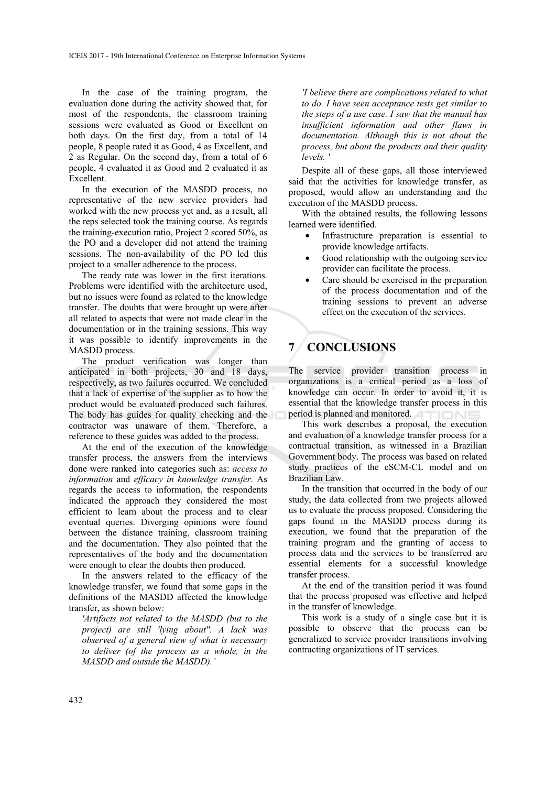In the case of the training program, the evaluation done during the activity showed that, for most of the respondents, the classroom training sessions were evaluated as Good or Excellent on both days. On the first day, from a total of 14 people, 8 people rated it as Good, 4 as Excellent, and 2 as Regular. On the second day, from a total of 6 people, 4 evaluated it as Good and 2 evaluated it as Excellent.

In the execution of the MASDD process, no representative of the new service providers had worked with the new process yet and, as a result, all the reps selected took the training course. As regards the training-execution ratio, Project 2 scored 50%, as the PO and a developer did not attend the training sessions. The non-availability of the PO led this project to a smaller adherence to the process.

The ready rate was lower in the first iterations. Problems were identified with the architecture used, but no issues were found as related to the knowledge transfer. The doubts that were brought up were after all related to aspects that were not made clear in the documentation or in the training sessions. This way it was possible to identify improvements in the MASDD process.

The product verification was longer than anticipated in both projects, 30 and 18 days, respectively, as two failures occurred. We concluded that a lack of expertise of the supplier as to how the product would be evaluated produced such failures. The body has guides for quality checking and the contractor was unaware of them. Therefore, a reference to these guides was added to the process.

At the end of the execution of the knowledge transfer process, the answers from the interviews done were ranked into categories such as: *access to information* and *efficacy in knowledge transfer*. As regards the access to information, the respondents indicated the approach they considered the most efficient to learn about the process and to clear eventual queries. Diverging opinions were found between the distance training, classroom training and the documentation. They also pointed that the representatives of the body and the documentation were enough to clear the doubts then produced.

In the answers related to the efficacy of the knowledge transfer, we found that some gaps in the definitions of the MASDD affected the knowledge transfer, as shown below:

*'Artifacts not related to the MASDD (but to the project) are still 'lying about''. A lack was observed of a general view of what is necessary to deliver (of the process as a whole, in the MASDD and outside the MASDD).'* 

*'I believe there are complications related to what to do. I have seen acceptance tests get similar to the steps of a use case. I saw that the manual has insufficient information and other flaws in documentation. Although this is not about the process, but about the products and their quality levels. '* 

Despite all of these gaps, all those interviewed said that the activities for knowledge transfer, as proposed, would allow an understanding and the execution of the MASDD process.

With the obtained results, the following lessons learned were identified.

- Infrastructure preparation is essential to provide knowledge artifacts.
- Good relationship with the outgoing service provider can facilitate the process.
- Care should be exercised in the preparation of the process documentation and of the training sessions to prevent an adverse effect on the execution of the services.

# **7 CONCLUSIONS**

The service provider transition process in organizations is a critical period as a loss of knowledge can occur. In order to avoid it, it is essential that the knowledge transfer process in this period is planned and monitored.

This work describes a proposal, the execution and evaluation of a knowledge transfer process for a contractual transition, as witnessed in a Brazilian Government body. The process was based on related study practices of the eSCM-CL model and on Brazilian Law.

In the transition that occurred in the body of our study, the data collected from two projects allowed us to evaluate the process proposed. Considering the gaps found in the MASDD process during its execution, we found that the preparation of the training program and the granting of access to process data and the services to be transferred are essential elements for a successful knowledge transfer process.

At the end of the transition period it was found that the process proposed was effective and helped in the transfer of knowledge.

This work is a study of a single case but it is possible to observe that the process can be generalized to service provider transitions involving contracting organizations of IT services.